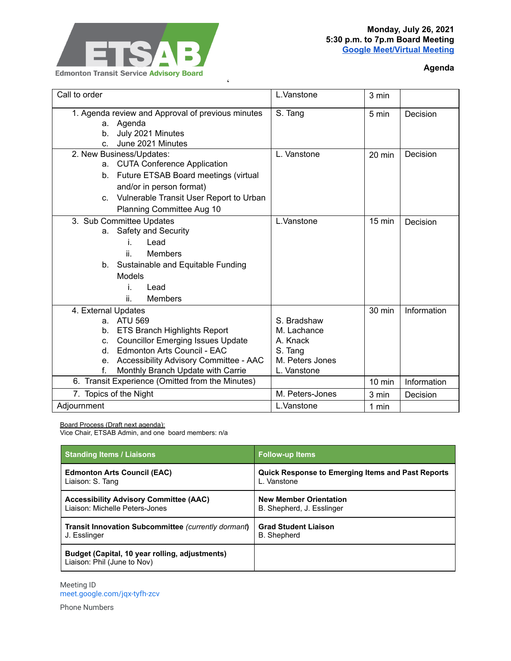

## **Monday, July 26, 2021 5:30 p.m. to 7p.m Board Meeting Google [Meet/Virtual](http://meet.google.com/jqx-tyfh-zcv) Meeting**

## **Agenda**

| Call to order                                      | L.Vanstone      | 3 min            |             |
|----------------------------------------------------|-----------------|------------------|-------------|
| 1. Agenda review and Approval of previous minutes  | S. Tang         | 5 min            | Decision    |
| a. Agenda                                          |                 |                  |             |
| July 2021 Minutes<br>b.                            |                 |                  |             |
| June 2021 Minutes<br>$C_{\cdot}$                   |                 |                  |             |
| 2. New Business/Updates:                           | L. Vanstone     | 20 min           | Decision    |
| a. CUTA Conference Application                     |                 |                  |             |
| Future ETSAB Board meetings (virtual<br>b.         |                 |                  |             |
| and/or in person format)                           |                 |                  |             |
| Vulnerable Transit User Report to Urban<br>$C_{1}$ |                 |                  |             |
| Planning Committee Aug 10                          |                 |                  |             |
| 3. Sub Committee Updates                           | L.Vanstone      | $15 \text{ min}$ | Decision    |
| a. Safety and Security                             |                 |                  |             |
| Lead<br>i.                                         |                 |                  |             |
| <b>Members</b><br>ii.                              |                 |                  |             |
| b. Sustainable and Equitable Funding               |                 |                  |             |
| Models                                             |                 |                  |             |
| i.<br>Lead                                         |                 |                  |             |
| ii.<br><b>Members</b>                              |                 |                  |             |
| 4. External Updates                                |                 | 30 min           | Information |
| a. ATU 569                                         | S. Bradshaw     |                  |             |
| <b>ETS Branch Highlights Report</b><br>b.          | M. Lachance     |                  |             |
| <b>Councillor Emerging Issues Update</b><br>C.     | A. Knack        |                  |             |
| Edmonton Arts Council - EAC<br>d.                  | S. Tang         |                  |             |
| Accessibility Advisory Committee - AAC<br>e.       | M. Peters Jones |                  |             |
| Monthly Branch Update with Carrie<br>f.            | L. Vanstone     |                  |             |
| 6. Transit Experience (Omitted from the Minutes)   |                 | 10 min           | Information |
| 7. Topics of the Night                             | M. Peters-Jones | 3 min            | Decision    |
| Adjournment                                        | L.Vanstone      | 1 min            |             |

 $\epsilon$ 

Board Process (Draft next agenda):

Vice Chair, ETSAB Admin, and one board members: n/a

| <b>Standing Items / Liaisons</b>                                              | <b>Follow-up Items</b>                                   |  |
|-------------------------------------------------------------------------------|----------------------------------------------------------|--|
| <b>Edmonton Arts Council (EAC)</b>                                            | <b>Quick Response to Emerging Items and Past Reports</b> |  |
| Liaison: S. Tang                                                              | L. Vanstone                                              |  |
| <b>Accessibility Advisory Committee (AAC)</b>                                 | <b>New Member Orientation</b>                            |  |
| Liaison: Michelle Peters-Jones                                                | B. Shepherd, J. Esslinger                                |  |
| <b>Transit Innovation Subcommittee (currently dormant)</b>                    | <b>Grad Student Liaison</b>                              |  |
| J. Esslinger                                                                  | <b>B.</b> Shepherd                                       |  |
| Budget (Capital, 10 year rolling, adjustments)<br>Liaison: Phil (June to Nov) |                                                          |  |

Meeting ID [meet.google.com/jqx-tyfh-zcv](https://meet.google.com/jqx-tyfh-zcv?hs=122&authuser=0)

Phone Numbers